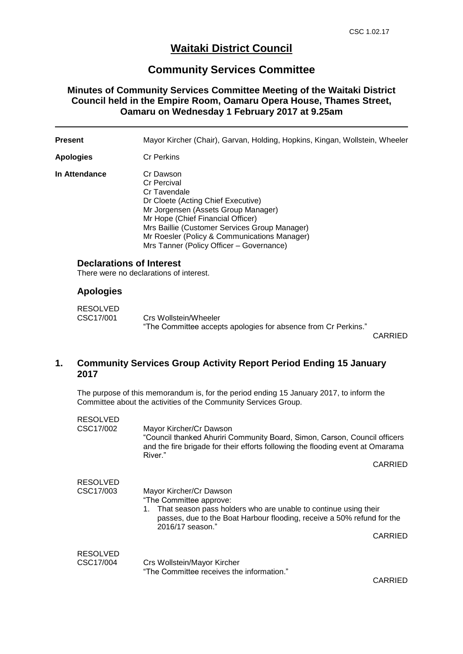## **Waitaki District Council**

## **Community Services Committee**

## **Minutes of Community Services Committee Meeting of the Waitaki District Council held in the Empire Room, Oamaru Opera House, Thames Street, Oamaru on Wednesday 1 February 2017 at 9.25am**

| <b>Present</b>   |                                                                                                                                                            | Mayor Kircher (Chair), Garvan, Holding, Hopkins, Kingan, Wollstein, Wheeler                                                                                                                                                                                                                                    |                |  |
|------------------|------------------------------------------------------------------------------------------------------------------------------------------------------------|----------------------------------------------------------------------------------------------------------------------------------------------------------------------------------------------------------------------------------------------------------------------------------------------------------------|----------------|--|
| <b>Apologies</b> |                                                                                                                                                            | <b>Cr Perkins</b>                                                                                                                                                                                                                                                                                              |                |  |
| In Attendance    |                                                                                                                                                            | Cr Dawson<br><b>Cr Percival</b><br>Cr Tavendale<br>Dr Cloete (Acting Chief Executive)<br>Mr Jorgensen (Assets Group Manager)<br>Mr Hope (Chief Financial Officer)<br>Mrs Baillie (Customer Services Group Manager)<br>Mr Roesler (Policy & Communications Manager)<br>Mrs Tanner (Policy Officer - Governance) |                |  |
|                  | <b>Declarations of Interest</b><br>There were no declarations of interest.                                                                                 |                                                                                                                                                                                                                                                                                                                |                |  |
|                  | <b>Apologies</b>                                                                                                                                           |                                                                                                                                                                                                                                                                                                                |                |  |
|                  | <b>RESOLVED</b><br>CSC17/001                                                                                                                               | Crs Wollstein/Wheeler<br>"The Committee accepts apologies for absence from Cr Perkins."                                                                                                                                                                                                                        | <b>CARRIED</b> |  |
| 1.               | <b>Community Services Group Activity Report Period Ending 15 January</b><br>2017                                                                           |                                                                                                                                                                                                                                                                                                                |                |  |
|                  | The purpose of this memorandum is, for the period ending 15 January 2017, to inform the<br>Committee about the activities of the Community Services Group. |                                                                                                                                                                                                                                                                                                                |                |  |
|                  | <b>RESOLVED</b><br>CSC17/002                                                                                                                               | Mayor Kircher/Cr Dawson<br>"Council thanked Ahuriri Community Board, Simon, Carson, Council officers<br>and the fire brigade for their efforts following the flooding event at Omarama<br>River."                                                                                                              | <b>CARRIED</b> |  |
|                  | <b>RESOLVED</b><br>CSC17/003                                                                                                                               | Mayor Kircher/Cr Dawson<br>"The Committee approve:<br>That season pass holders who are unable to continue using their<br>1.<br>passes, due to the Boat Harbour flooding, receive a 50% refund for the<br>2016/17 season."                                                                                      | CARRIED        |  |
|                  | <b>RESOLVED</b>                                                                                                                                            |                                                                                                                                                                                                                                                                                                                |                |  |

| CSC17/004 | Crs Wollstein/Mayor Kircher               |
|-----------|-------------------------------------------|
|           | "The Committee receives the information." |

CARRIED